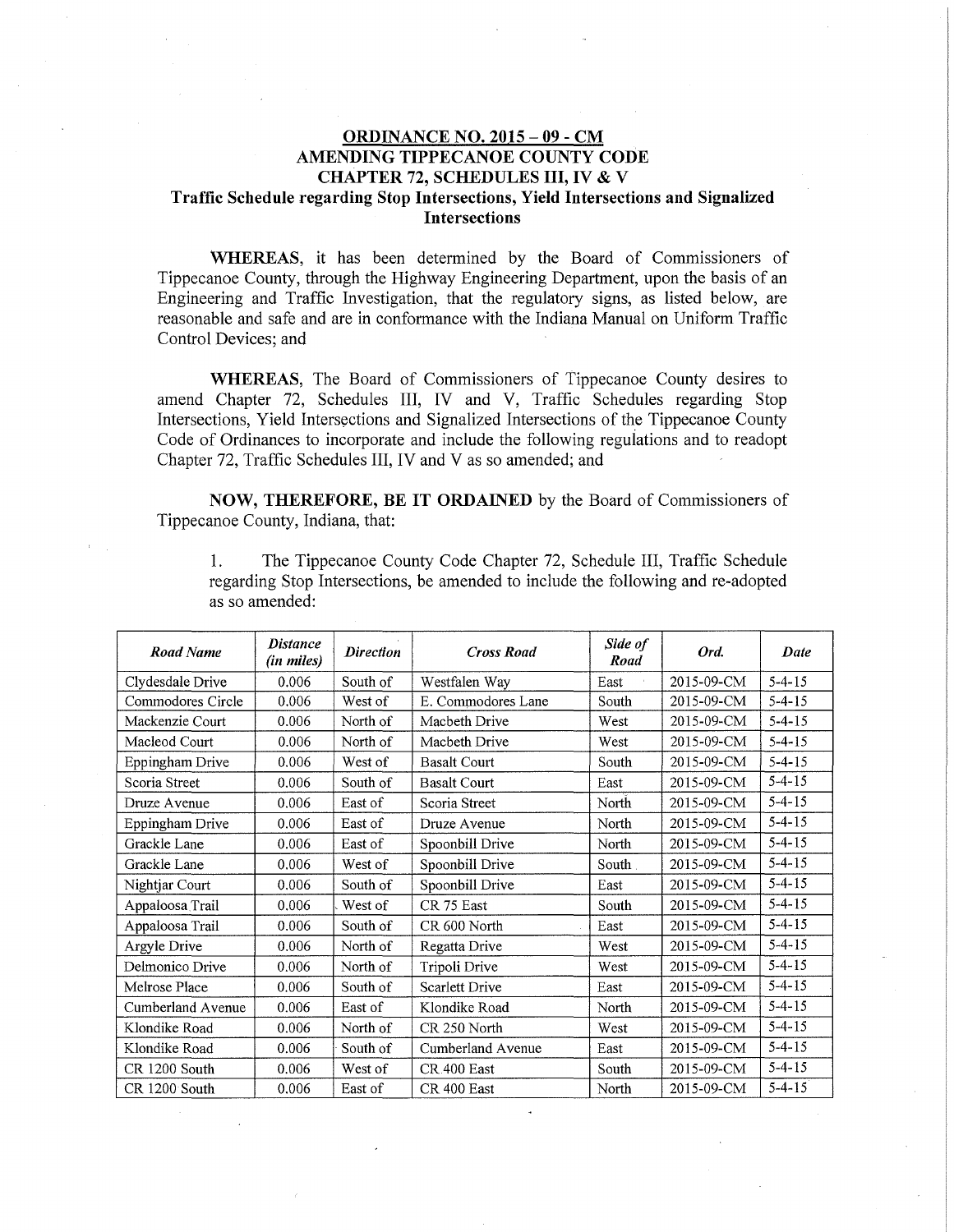## ORDINANCE NO. 2015 - 09 - CM AMENDING TIPPECANOE COUNTY CODE CHAPTER 72, SCHEDULES III, IV & V Traffic Schedule regarding Stop Intersections, Yield Intersections and Signalized Intersections

WHEREAS, it has been determined by the Board of Commissioners of Tippecanoe County, through the Highway Engineering Department, upon the basis of an Engineering and Traffic Investigation, that the regulatory signs, as listed below, are reasonable and safe and are in conformance with the Indiana Manual on Uniform Traffic Control Devices; and

WHEREAS, The Board of Commissioners of Tippecanoe County desires to amend Chapter 72, Schedules III, IV and V, Traffic Schedules regarding Stop Intersections, Yield Intersections and Signalized Intersections of the Tippecanoe County Code of Ordinances to incorporate and include the following reguiations and to readopt Chapter 72, Traffic Schedules III, IV and V as so amended; and

NOW, THEREFORE, BE IT ORDAINED by the Board of Commissioners of Tippecanoe County, Indiana, that:

1. The Tippecanoe County Code Chapter 72, Schedule III, Traffic Schedule regarding Stop Intersections, be amended to include the following and re-adopted as so amended:

| <b>Road Name</b>  | <b>Distance</b><br>(in miles) | <b>Direction</b> | <b>Cross Road</b>   | Side of<br>Road | Ord.       | Date         |
|-------------------|-------------------------------|------------------|---------------------|-----------------|------------|--------------|
| Clydesdale Drive  | 0.006                         | South of         | Westfalen Way       | East            | 2015-09-CM | $5 - 4 - 15$ |
| Commodores Circle | 0.006                         | West of          | E. Commodores Lane  | South           | 2015-09-CM | $5 - 4 - 15$ |
| Mackenzie Court   | 0.006                         | North of         | Macbeth Drive       | West            | 2015-09-CM | $5 - 4 - 15$ |
| Macleod Court     | 0.006                         | North of         | Macbeth Drive       | West            | 2015-09-CM | $5 - 4 - 15$ |
| Eppingham Drive   | 0.006                         | West of          | <b>Basalt Court</b> | South           | 2015-09-CM | $5 - 4 - 15$ |
| Scoria Street     | 0.006                         | South of         | <b>Basalt Court</b> | East            | 2015-09-CM | $5 - 4 - 15$ |
| Druze Avenue      | 0.006                         | East of          | Scoria Street       | North           | 2015-09-CM | $5 - 4 - 15$ |
| Eppingham Drive   | 0.006                         | East of          | Druze Avenue        | North           | 2015-09-CM | $5 - 4 - 15$ |
| Grackle Lane      | 0.006                         | East of          | Spoonbill Drive     | North           | 2015-09-CM | $5 - 4 - 15$ |
| Grackle Lane      | 0.006                         | West of          | Spoonbill Drive     | South           | 2015-09-CM | $5 - 4 - 15$ |
| Nightjar Court    | 0.006                         | South of         | Spoonbill Drive     | East            | 2015-09-CM | $5 - 4 - 15$ |
| Appaloosa Trail   | 0.006                         | West of          | CR 75 East          | South           | 2015-09-CM | $5 - 4 - 15$ |
| Appaloosa Trail   | 0.006                         | South of         | CR 600 North        | East            | 2015-09-CM | $5 - 4 - 15$ |
| Argyle Drive      | 0.006                         | North of         | Regatta Drive       | West            | 2015-09-CM | $5 - 4 - 15$ |
| Delmonico Drive   | 0.006                         | North of         | Tripoli Drive       | West            | 2015-09-CM | $5 - 4 - 15$ |
| Melrose Place     | 0.006                         | South of         | Scarlett Drive      | East            | 2015-09-CM | $5-4-15$     |
| Cumberland Avenue | 0.006                         | East of          | Klondike Road       | North           | 2015-09-CM | $5 - 4 - 15$ |
| Klondike Road     | 0.006                         | North of         | CR 250 North        | West            | 2015-09-CM | $5 - 4 - 15$ |
| Klondike Road     | 0.006                         | South of         | Cumberland Avenue   | East            | 2015-09-CM | $5 - 4 - 15$ |
| CR 1200 South     | 0.006                         | West of          | CR 400 East         | South           | 2015-09-CM | $5 - 4 - 15$ |
| CR 1200 South     | 0.006                         | East of          | CR 400 East         | North           | 2015-09-CM | $5 - 4 - 15$ |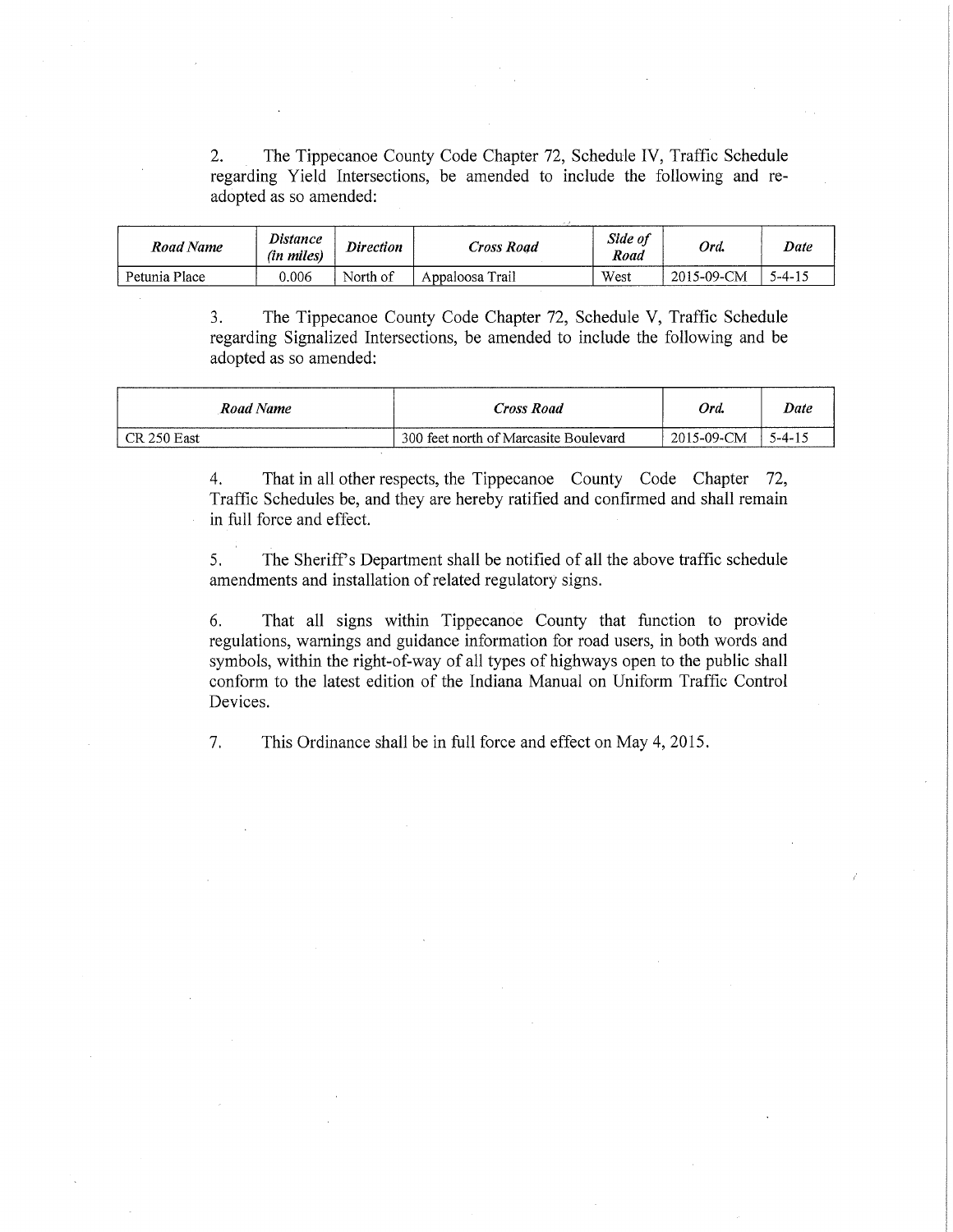2. The Tippecanoe County Code Chapter 72, Schedule IV, Traffic Schedule regarding Yield Intersections, be amended to include the following and readopted as so amended:

| Road Name     | <b>Distance</b><br>(in miles) | <b>Direction</b> | Cross Road      | Side of<br>Road | Ord.       | Date   |
|---------------|-------------------------------|------------------|-----------------|-----------------|------------|--------|
| Petunia Place | 0.006                         | North of         | Appaloosa Trail | West            | 2015-09-CM | 5-4-15 |

3. The Tippecanoe County Code Chapter 72, Schedule V, Traffic Schedule regarding Signalized Intersections, be amended to include the following and be adopted as so amended:

| Road Name   | Cross Road                            | Ord.       | Date        |
|-------------|---------------------------------------|------------|-------------|
| CR 250 East | 300 feet north of Marcasite Boulevard | 2015-09-CM | $5 - 4 - 1$ |

4. That in all other respects, the Tippecanoe County Code Chapter 72, Traffic Schedules be, and they are hereby ratified and confirmed and shall remain in full force and effect.

5. The Sheriffs Department shall be notified of all the above traffic schedule amendments and installation of related regulatory signs.

6. That all signs within Tippecanoe County that function to provide regulations, warnings and guidance information for road users, in both words and symbols, within the right-of-way of all types of highways open to the public shall conform to the latest edition of the Indiana Manual on Uniform Traffic Control Devices.

7. This Ordinance shall be in full force and effect on May 4, 2015.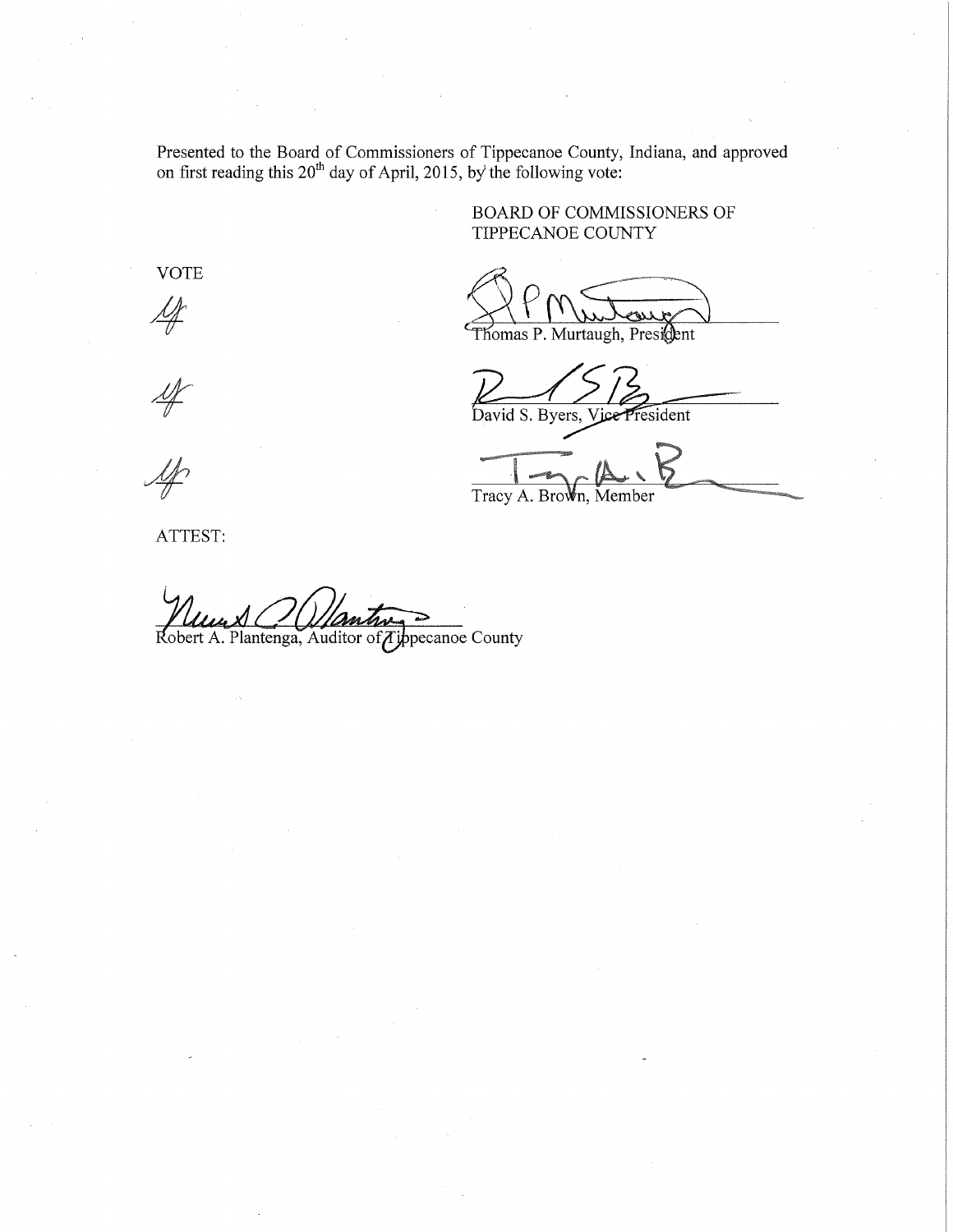Presented to the Board of Commissioners of Tippecanoe County, Indiana, and approved on first reading this  $20^{th}$  day of April, 2015, by' the following vote:

> BOARD OF COMMISSIONERS OF TIPPECANOE COUNTY

Thomas P. Murtaugh, President

David S. Byers, resident

Tracy A. Brown, Member

 $\mathscr{A}$ 

VOTE

 $\mathscr{A}$ 

 $\frac{M}{2}$ 

ATTEST:

Robert A. Plantenga, Auditor of Tippecanoe County